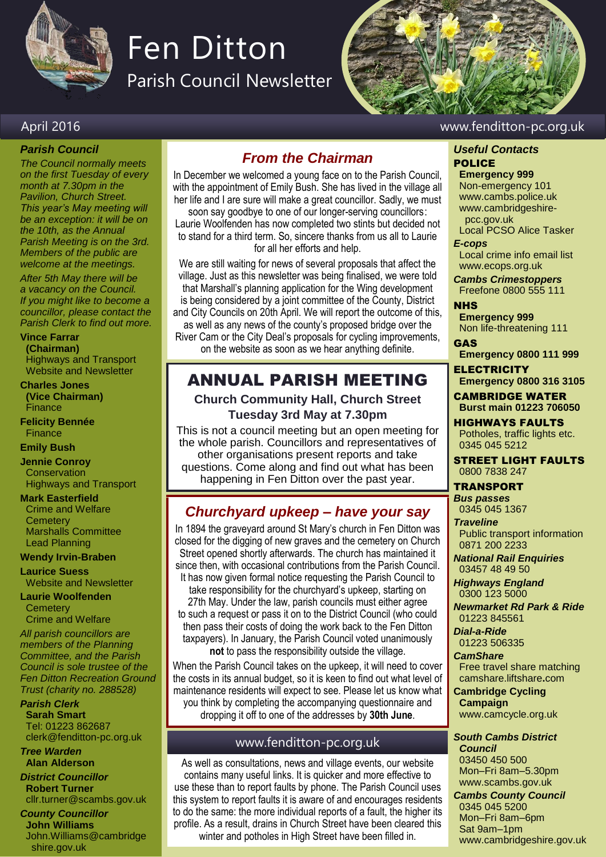

# Fen Ditton

Parish Council Newsletter



#### April 2016 www.fenditton-pc.org.uk

#### *Parish Council*

*The Council normally meets on the first Tuesday of every month at 7.30pm in the Pavilion, Church Street. This year's May meeting will be an exception: it will be on the 10th, as the Annual Parish Meeting is on the 3rd. Members of the public are welcome at the meetings.*

*After 5th May there will be a vacancy on the Council. If you might like to become a councillor, please contact the Parish Clerk to find out more.*

# **Vince Farrar**

**(Chairman)** Highways and Transport Website and Newsletter

#### **Charles Jones**

**(Vice Chairman)** Finance

**Felicity Bennée Finance** 

#### **Emily Bush**

**Jennie Conroy Conservation** Highways and Transport

**Mark Easterfield** Crime and Welfare **Cemetery** Marshalls Committee Lead Planning

#### **Wendy Irvin-Braben**

**Laurice Suess** Website and Newsletter

**Laurie Woolfenden Cemeterv** Crime and Welfare

*All parish councillors are members of the Planning Committee, and the Parish Council is sole trustee of the Fen Ditton Recreation Ground Trust (charity no. 288528)*

*Parish Clerk* **Sarah Smart** Tel: 01223 862687 clerk@fenditton-pc.org.uk

#### *Tree Warden* **Alan Alderson**

*District Councillor* **Robert Turner** cllr.turner@scambs.gov.uk

#### *County Councillor* **John Williams**

John.Williams@cambridge shire.gov.uk

# *From the Chairman*

In December we welcomed a young face on to the Parish Council, with the appointment of Emily Bush. She has lived in the village all her life and I are sure will make a great councillor. Sadly, we must

soon say goodbye to one of our longer-serving councillors: Laurie Woolfenden has now completed two stints but decided not to stand for a third term. So, sincere thanks from us all to Laurie for all her efforts and help.

We are still waiting for news of several proposals that affect the village. Just as this newsletter was being finalised, we were told that Marshall's planning application for the Wing development is being considered by a joint committee of the County, District and City Councils on 20th April. We will report the outcome of this, as well as any news of the county's proposed bridge over the River Cam or the City Deal's proposals for cycling improvements, on the website as soon as we hear anything definite.

# ANNUAL PARISH MEETING

#### **Church Community Hall, Church Street Tuesday 3rd May at 7.30pm**

This is not a council meeting but an open meeting for the whole parish. Councillors and representatives of other organisations present reports and take questions. Come along and find out what has been happening in Fen Ditton over the past year.

# *Churchyard upkeep – have your say*

In 1894 the graveyard around St Mary's church in Fen Ditton was closed for the digging of new graves and the cemetery on Church Street opened shortly afterwards. The church has maintained it since then, with occasional contributions from the Parish Council. It has now given formal notice requesting the Parish Council to take responsibility for the churchyard's upkeep, starting on 27th May. Under the law, parish councils must either agree to such a request or pass it on to the District Council (who could then pass their costs of doing the work back to the Fen Ditton taxpayers). In January, the Parish Council voted unanimously **not** to pass the responsibility outside the village.

When the Parish Council takes on the upkeep, it will need to cover the costs in its annual budget, so it is keen to find out what level of maintenance residents will expect to see. Please let us know what you think by completing the accompanying questionnaire and dropping it off to one of the addresses by **30th June**.

#### www.fenditton-pc.org.uk

As well as consultations, news and village events, our website contains many useful links. It is quicker and more effective to use these than to report faults by phone. The Parish Council uses this system to report faults it is aware of and encourages residents to do the same: the more individual reports of a fault, the higher its profile. As a result, drains in Church Street have been cleared this winter and potholes in High Street have been filled in.

#### *Useful Contacts* POLICE

**Emergency 999** Non-emergency 101 www.cambs.police.uk www.cambridgeshire pcc.gov.uk Local PCSO Alice Tasker

*E-cops*

Local crime info email list www.ecops.org.uk

*Cambs Crimestoppers* Freefone 0800 555 111

**NHS Emergency 999** Non life-threatening 111

GAS **Emergency 0800 111 999**

**ELECTRICITY Emergency 0800 316 3105**

CAMBRIDGE WATER **Burst main 01223 706050**

HIGHWAYS FAULTS Potholes, traffic lights etc. 0345 045 5212

STREET LIGHT FAULTS 0800 7838 247

#### TRANSPORT

*Bus passes* 0345 045 1367

*Traveline* Public transport information 0871 200 2233

*National Rail Enquiries* 03457 48 49 50

*Highways England* 0300 123 5000

*Newmarket Rd Park & Ride* 01223 845561

*Dial-a-Ride* 01223 506335

*CamShare*

Free travel share matching camshare.liftshare**.**com

**Cambridge Cycling Campaign**

www.camcycle.org.uk *South Cambs District* 

*Council* 03450 450 500 Mon–Fri 8am–5.30pm www.scambs.gov.uk

*Cambs County Council* 0345 045 5200 Mon–Fri 8am–6pm Sat 9am–1pm www.cambridgeshire.gov.uk